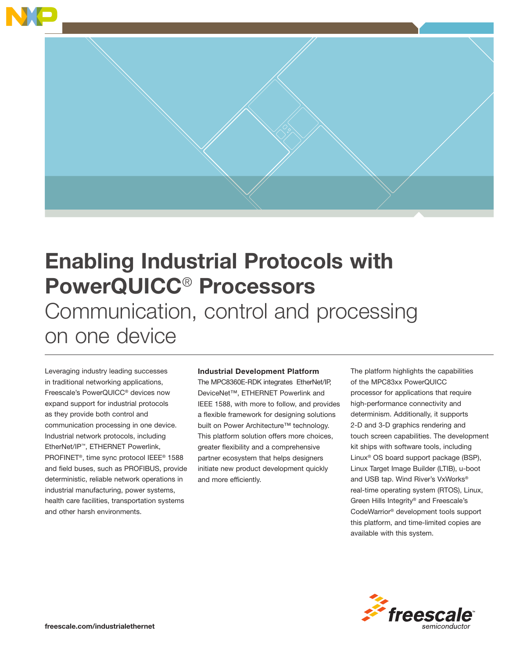

# Enabling Industrial Protocols with PowerQUICC® Processors Communication, control and processing on one device

Leveraging industry leading successes in traditional networking applications, Freescale's PowerQUICC® devices now expand support for industrial protocols as they provide both control and communication processing in one device. Industrial network protocols, including EtherNet/IP™, ETHERNET Powerlink, PROFINET®, time sync protocol IEEE® 1588 and field buses, such as PROFIBUS, provide deterministic, reliable network operations in industrial manufacturing, power systems, health care facilities, transportation systems and other harsh environments.

### Industrial Development Platform

The MPC8360E-RDK integrates EtherNet/IP, DeviceNet™, ETHERNET Powerlink and IEEE 1588, with more to follow, and provides a flexible framework for designing solutions built on Power Architecture™ technology. This platform solution offers more choices, greater flexibility and a comprehensive partner ecosystem that helps designers initiate new product development quickly and more efficiently.

The platform highlights the capabilities of the MPC83xx PowerQUICC processor for applications that require high-performance connectivity and determinism. Additionally, it supports 2-D and 3-D graphics rendering and touch screen capabilities. The development kit ships with software tools, including Linux® OS board support package (BSP), Linux Target Image Builder (LTIB), u-boot and USB tap. Wind River's VxWorks® real-time operating system (RTOS), Linux, Green Hills Integrity® and Freescale's CodeWarrior® development tools support this platform, and time-limited copies are available with this system.

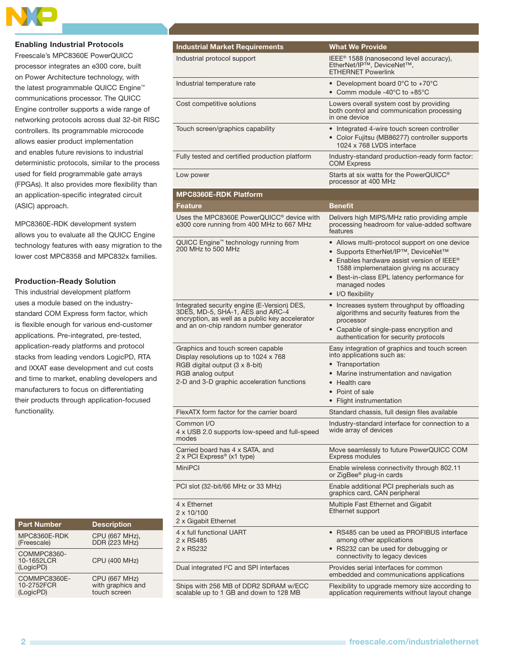

#### Enabling Industrial Protocols

Freescale's MPC8360E PowerQUICC processor integrates an e300 core, built on Power Architecture technology, with the latest programmable QUICC Engine™ communications processor. The QUICC Engine controller supports a wide range of networking protocols across dual 32-bit RISC controllers. Its programmable microcode allows easier product implementation and enables future revisions to industrial deterministic protocols, similar to the process used for field programmable gate arrays (FPGAs). It also provides more flexibility than an application-specific integrated circuit (ASIC) approach.

MPC8360E-RDK development system allows you to evaluate all the QUICC Engine technology features with easy migration to the lower cost MPC8358 and MPC832x families.

#### Production-Ready Solution

This industrial development platform uses a module based on the industrystandard COM Express form factor, which is flexible enough for various end-customer applications. Pre-integrated, pre-tested, application-ready platforms and protocol stacks from leading vendors LogicPD, RTA and IXXAT ease development and cut costs and time to market, enabling developers and manufacturers to focus on differentiating their products through application-focused functionality.

| <b>Part Number</b>                      | <b>Description</b>                                        |
|-----------------------------------------|-----------------------------------------------------------|
| MPC8360E-RDK<br>(Freescale)             | CPU (667 MHz),<br>DDR (223 MHz)                           |
| COMMPC8360-<br>10-1652LCR<br>(LogicPD)  | <b>CPU (400 MHz)</b>                                      |
| COMMPC8360E-<br>10-2752FCR<br>(LogicPD) | <b>CPU (667 MHz)</b><br>with graphics and<br>touch screen |

| <b>Industrial Market Requirements</b>                                                                                                                                          | <b>What We Provide</b>                                                                                                                                                                                                                                                        |
|--------------------------------------------------------------------------------------------------------------------------------------------------------------------------------|-------------------------------------------------------------------------------------------------------------------------------------------------------------------------------------------------------------------------------------------------------------------------------|
| Industrial protocol support                                                                                                                                                    | IEEE <sup>®</sup> 1588 (nanosecond level accuracy),<br>EtherNet/IP™, DeviceNet™,<br><b>ETHERNET Powerlink</b>                                                                                                                                                                 |
| Industrial temperature rate                                                                                                                                                    | • Development board $0^{\circ}$ C to +70 $^{\circ}$ C<br>• Comm module -40°C to +85°C                                                                                                                                                                                         |
| Cost competitive solutions                                                                                                                                                     | Lowers overall system cost by providing<br>both control and communication processing<br>in one device                                                                                                                                                                         |
| Touch screen/graphics capability                                                                                                                                               | • Integrated 4-wire touch screen controller<br>• Color Fujitsu (MB86277) controller supports<br>1024 x 768 LVDS interface                                                                                                                                                     |
| Fully tested and certified production platform                                                                                                                                 | Industry-standard production-ready form factor:<br><b>COM Express</b>                                                                                                                                                                                                         |
| Low power                                                                                                                                                                      | Starts at six watts for the PowerQUICC <sup>®</sup><br>processor at 400 MHz                                                                                                                                                                                                   |
| <b>MPC8360E-RDK Platform</b>                                                                                                                                                   |                                                                                                                                                                                                                                                                               |
| <b>Feature</b>                                                                                                                                                                 | <b>Benefit</b>                                                                                                                                                                                                                                                                |
| Uses the MPC8360E PowerQUICC <sup>®</sup> device with<br>e300 core running from 400 MHz to 667 MHz                                                                             | Delivers high MIPS/MHz ratio providing ample<br>processing headroom for value-added software<br>features                                                                                                                                                                      |
| QUICC Engine <sup>™</sup> technology running from<br>200 MHz to 500 MHz                                                                                                        | • Allows multi-protocol support on one device<br>• Supports EtherNet/IP™, DeviceNet™<br>• Enables hardware assist version of IEEE <sup>®</sup><br>1588 implemenataion giving ns accuracy<br>• Best-in-class EPL latency performance for<br>managed nodes<br>• I/O flexibility |
| Integrated security engine (E-Version) DES,<br>3DES, MD-5, SHA-1, AES and ARC-4<br>encryption, as well as a public key accelerator<br>and an on-chip random number generator   | • Increases system throughput by offloading<br>algorithms and security features from the<br>processor<br>• Capable of single-pass encryption and<br>authentication for security protocols                                                                                     |
| Graphics and touch screen capable<br>Display resolutions up to 1024 x 768<br>RGB digital output (3 x 8-bit)<br>RGB analog output<br>2-D and 3-D graphic acceleration functions | Easy integration of graphics and touch screen<br>into applications such as:<br>Transportation<br>Marine instrumentation and navigation<br>• Health care<br>• Point of sale<br>• Flight instrumentation                                                                        |
| FlexATX form factor for the carrier board                                                                                                                                      | Standard chassis, full design files available                                                                                                                                                                                                                                 |
| Common I/O<br>4 x USB 2.0 supports low-speed and full-speed<br>modes                                                                                                           | Industry-standard interface for connection to a<br>wide array of devices                                                                                                                                                                                                      |
| Carried board has 4 x SATA, and<br>2 x PCI Express® (x1 type)                                                                                                                  | Move seamlessly to future PowerQUICC COM<br><b>Express modules</b>                                                                                                                                                                                                            |
| <b>MiniPCI</b>                                                                                                                                                                 | Enable wireless connectivity through 802.11<br>or ZigBee® plug-in cards                                                                                                                                                                                                       |
| PCI slot (32-bit/66 MHz or 33 MHz)                                                                                                                                             | Enable additional PCI prepherials such as<br>graphics card, CAN peripheral                                                                                                                                                                                                    |
| 4 x Ethernet<br>$2 \times 10/100$<br>2 x Gigabit Ethernet                                                                                                                      | Multiple Fast Ethernet and Gigabit<br>Ethernet support                                                                                                                                                                                                                        |
| 4 x full functional UART<br>2 x RS485<br>2 x RS232                                                                                                                             | • RS485 can be used as PROFIBUS interface<br>among other applications<br>• RS232 can be used for debugging or<br>connectivity to legacy devices                                                                                                                               |
| Dual integrated I <sup>2</sup> C and SPI interfaces                                                                                                                            | Provides serial interfaces for common<br>embedded and communications applications                                                                                                                                                                                             |
| Ships with 256 MB of DDR2 SDRAM w/ECC<br>scalable up to 1 GB and down to 128 MB                                                                                                | Flexibility to upgrade memory size according to<br>application requirements without layout change                                                                                                                                                                             |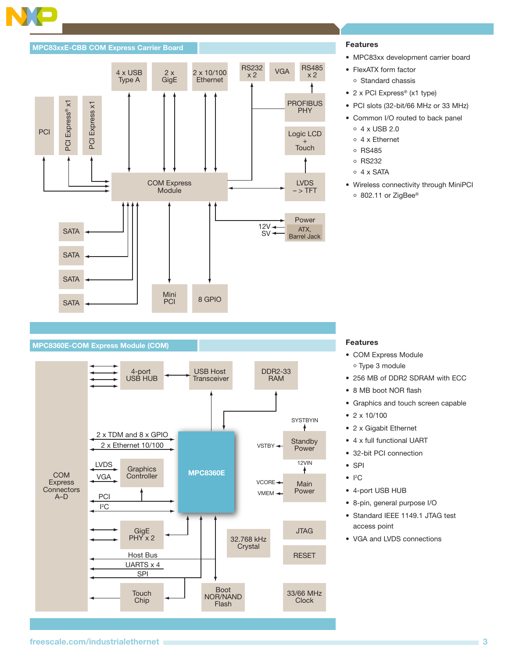#### MPC83xxE-CBB COM Express Carrier Board



#### Features

- MPC83xx development carrier board
- FlexATX form factor o Standard chassis
- 2 x PCI Express® (x1 type)
- PCI slots (32-bit/66 MHz or 33 MHz)
- Common I/O routed to back panel
	- 4 x USB 2.0
	- 4 x Ethernet
	- **C** RS485
	- RS232
	- $\circ$  4 x SATA
- Wireless connectivity through MiniPCI ○ 802.11 or ZigBee®

## MPC8360E-COM Express Module (COM) Features And The Company of the Company of the Company of the Company of the Company of the Company of the Company of the Company of the Company of the Company of the Company of the Compan



- COM Express Module Type 3 module
- 256 MB of DDR2 SDRAM with ECC
- 8 MB boot NOR flash
- Graphics and touch screen capable
- 2 x 10/100
- 2 x Gigabit Ethernet
- 4 x full functional UART
- 32-bit PCI connection
- SPI
- $\bullet$   $|^{2}C$
- 4-port USB HUB
- 8-pin, general purpose I/O
- Standard IEEE 1149.1 JTAG test access point
- VGA and LVDS connections